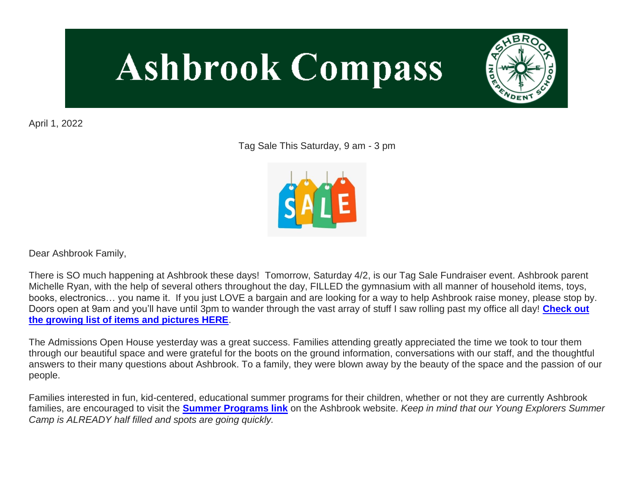# **Ashbrook Compass**



April 1, 2022

Tag Sale This Saturday, 9 am - 3 pm



Dear Ashbrook Family,

There is SO much happening at Ashbrook these days! Tomorrow, Saturday 4/2, is our Tag Sale Fundraiser event. Ashbrook parent Michelle Ryan, with the help of several others throughout the day, FILLED the gymnasium with all manner of household items, toys, books, electronics… you name it. If you just LOVE a bargain and are looking for a way to help Ashbrook raise money, please stop by. Doors open at 9am and you'll have until 3pm to wander through the vast array of stuff I saw rolling past my office all day! **[Check out](http://link.mystudentsprogress.com/ls/click?upn=GbuZMsH4QD-2BGs1AtMRPNCxZ6CPOsROjNkPNWf-2FLPOvQCtHkTfoWm7CNj-2BX6fgZJN6Bw5_1PndbFfBoQGSZbxwXHHEexw3B2F0fG-2BUmuXm6a-2BX-2BzspVuiq-2BemV-2Fzy6QV6RfOWdw99-2B7a9JAOhO3H-2B6u5JigNdNc9XX1RKlRVEjguZjTLKEGWfi7b2K7p-2B5thAFhYAgUZwJ-2FFiQFeXv-2BnFuwxYDnW4K3nL8SN8y-2Fw3eptjXtEPE4-2BWRbqqqNl67zc3ol-2B34HvxADZ-2BjIUi6QxoyatFVjlHr9INht7IwGdgIO9BIu1hLxMGI7zQbsGB1EBBEGBJXSrfPmkiBE3U9cUVYW7VSsjRwudxGJHDtiVMb0qMzEHBNXv5GgrjBNISjnOf-2FCT8cYyflYU4SfIoFnVmufupzq644eEmfA6V9sxRmrEt9tETl-2Bg71PYfWGBZLQY4Zv-2FDWLBlhn1aueahSExko-2FfAY0HFQXbN9FsCoBpnhxPQ-2B6HhHsxShd76AKb0eRnLiAvpN)  [the growing list of items and pictures HERE](http://link.mystudentsprogress.com/ls/click?upn=GbuZMsH4QD-2BGs1AtMRPNCxZ6CPOsROjNkPNWf-2FLPOvQCtHkTfoWm7CNj-2BX6fgZJN6Bw5_1PndbFfBoQGSZbxwXHHEexw3B2F0fG-2BUmuXm6a-2BX-2BzspVuiq-2BemV-2Fzy6QV6RfOWdw99-2B7a9JAOhO3H-2B6u5JigNdNc9XX1RKlRVEjguZjTLKEGWfi7b2K7p-2B5thAFhYAgUZwJ-2FFiQFeXv-2BnFuwxYDnW4K3nL8SN8y-2Fw3eptjXtEPE4-2BWRbqqqNl67zc3ol-2B34HvxADZ-2BjIUi6QxoyatFVjlHr9INht7IwGdgIO9BIu1hLxMGI7zQbsGB1EBBEGBJXSrfPmkiBE3U9cUVYW7VSsjRwudxGJHDtiVMb0qMzEHBNXv5GgrjBNISjnOf-2FCT8cYyflYU4SfIoFnVmufupzq644eEmfA6V9sxRmrEt9tETl-2Bg71PYfWGBZLQY4Zv-2FDWLBlhn1aueahSExko-2FfAY0HFQXbN9FsCoBpnhxPQ-2B6HhHsxShd76AKb0eRnLiAvpN)**.

The Admissions Open House yesterday was a great success. Families attending greatly appreciated the time we took to tour them through our beautiful space and were grateful for the boots on the ground information, conversations with our staff, and the thoughtful answers to their many questions about Ashbrook. To a family, they were blown away by the beauty of the space and the passion of our people.

Families interested in fun, kid-centered, educational summer programs for their children, whether or not they are currently Ashbrook families, are encouraged to visit the **[Summer Programs link](http://link.mystudentsprogress.com/ls/click?upn=5XDbAd9r0ovG7GZusFBG8PaUF78UqItDelTGdwk7Y5Z6snw4T29-2Bxfvechik02zNNjHskFAbqBwE5Be3mTfInPLSoC-2BecC4phoAA3XU5fdU-3DWAvO_1PndbFfBoQGSZbxwXHHEexw3B2F0fG-2BUmuXm6a-2BX-2BzspVuiq-2BemV-2Fzy6QV6RfOWdw99-2B7a9JAOhO3H-2B6u5JigNvnpOagbz-2Bw2vGV1KTNYGp43qhVZ7hS7Nt9RmKv6iZ2JmvX7mQ4aNiRq5pg6k1vCzjnE6Q2pB-2F7ZYDurI5mWLTTTAoRt-2ByH-2BdDynMm4t0FYQ-2BVO2x-2BLZKa9pEEQmPJIqKGy7cc6Uv0segLx9y2dj6Q4a-2BpTdNT4YsPjt9htgupZ3tO5oQdeSwprp-2BSLMwraaTUTxfHoKJJWxDw-2BCkPnQdsua8NhIGac-2BH-2B1CPP-2BJVX-2Fl7OcoL4ISjqnAz6v9-2BPwhkA7G9vJena1bWNWO0AR9mExqjaavSJo-2Fn6Qk31e7nv1Vaq9FLKr-2FFVu-2F9VMoj8R-2FPClN6Cn7ZzEE9qiGkpxIikW4JY33bDL5Y6pkQlKU6XK)** on the Ashbrook website. *Keep in mind that our Young Explorers Summer Camp is ALREADY half filled and spots are going quickly.*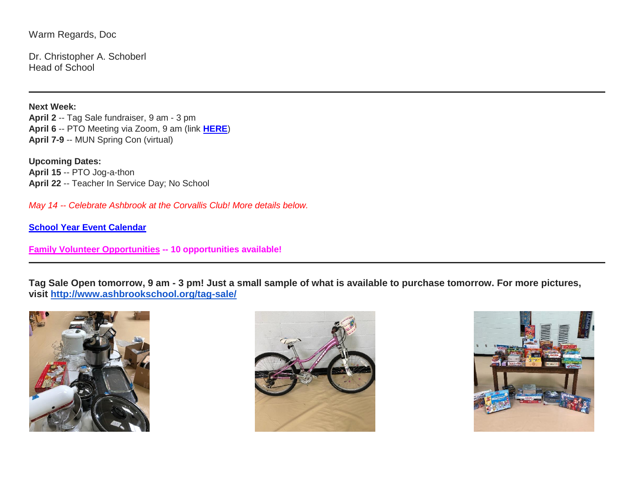Warm Regards, Doc

Dr. Christopher A. Schoberl Head of School

**Next Week: April 2** -- Tag Sale fundraiser, 9 am - 3 pm **April 6** -- PTO Meeting via Zoom, 9 am (link **[HERE](http://link.mystudentsprogress.com/ls/click?upn=t3AI3kjK1Pyk9qPfHnOahdUXsXwKktIG8PjKMmDa563TLyGmQbyIazENxFVEkz4dwmYp5Z9USNXC1aCCDVQgl9BWDUwGriNPQNLlF9Zx7xKHvLX2AmhkD7P2CF4Gm-2BPTD7QV_1PndbFfBoQGSZbxwXHHEexw3B2F0fG-2BUmuXm6a-2BX-2BzspVuiq-2BemV-2Fzy6QV6RfOWdw99-2B7a9JAOhO3H-2B6u5JigKi4ROcYKXK7gk6DN6PULLGNVqlkS2UJMtuXiEFMLzbsdJrit-2FPOhlXnSyZ-2F01CtQgtALijX9-2FiuVin0PwDiuyA-2Fvpi3lm7lR3ZZPzAyJ7wNBrQ-2FHUQqXYMQbPVY9YRFeU23H02Nmt0eNxURDJ-2BOQ2-2BpW6I2x2zKdA98U1-2FQNRoYgd1Ohc9cD3PoHPPqiNQEt7tu8alteqwQu4eD1fAXDUAvRjwyjpf-2Fa39uNz3mz1paxqshZy7XJiNEBHin0ik3NQkmdDKBjrX7sz7eMvAZRkp6a12JOzGaZOuVOvGqUI3PC3lPnxL2ZyhV8aTrmUbkSLtsqCFJBYqLytS9w4TY9l-2B1-2BzPPEPXNcJ5ovdjYCH8e)**) **April 7-9** -- MUN Spring Con (virtual)

**Upcoming Dates: April 15** -- PTO Jog-a-thon **April 22** -- Teacher In Service Day; No School

*May 14 -- Celebrate Ashbrook at the Corvallis Club! More details below.*

**[School Year Event Calendar](http://link.mystudentsprogress.com/ls/click?upn=n7jYKe39nC4PrVAw2BzaOolgU5XUleaJ61qfvNJxTW3uoi8RFzNYUfSc1qXdqajA34djZWrxIBJBxzp2whbybvqIYp3dDOkCDgKesziBdCm1u7J5UB6bwQicng-2BhFj8jm5vDG0tBEB0sO-2FO3RXilW8Csk5oOSfGUUXvh5WSdqhvDojIY5znyF-2BOYIJP1WK6B4hNv_1PndbFfBoQGSZbxwXHHEexw3B2F0fG-2BUmuXm6a-2BX-2BzspVuiq-2BemV-2Fzy6QV6RfOWdw99-2B7a9JAOhO3H-2B6u5JigLfQG4fIPfUsuLvO8OBDBA9f0WhH9nSqqm25Y8-2Bmy92FLF-2F7rDJoruEcPOwt3JCiHLeK-2BiUG6DnN5jQD8EQDPC861RcSPG2ebn4YRiKuEwXH9DF-2FY8ptchUPhHrMoChRVNkbh0aC8-2BLRNZ1jiIQmrSDXZx0WCyntO9Z-2BtEEmA-2FrkQ8JlsDNaZwl7rwOTLwG-2BsjgDV6pcIR9NJYwyv83OufnnulLVU-2BTLmccx8GkBF9lk8HJptSE-2Fk5nzDEz1r9F0DoS18NvYM0JKIAKGuX5jXU4Tf-2BtaSZmeBp1-2B5HriqvQhBbzhisGhxqHqqAGW9ABgX48sN0GFX7BcdOLW6AwoflDuz15LP-2FmHBHGln62u6YZ9)**

**[Family Volunteer Opportunities](http://link.mystudentsprogress.com/ls/click?upn=VpBe6Z9t6RkEC4qAoQCerkRqVNRJCi4SE2bZPjoSvlxSlLFpfnUYhuutAutUGnBh84nj-2BJvhJlx1K1dJMDDqBY1qLZ1O0nCcHebienBZj-2BKxsXBin-2FugM50Q-2FqN8cLG3Urd1ZQzGcMWtkFleXRzacA-3D-3DWPzF_1PndbFfBoQGSZbxwXHHEexw3B2F0fG-2BUmuXm6a-2BX-2BzspVuiq-2BemV-2Fzy6QV6RfOWdw99-2B7a9JAOhO3H-2B6u5JigGfZ9vu0Xr94tHi-2BCRA27R-2BA1hXqYPtrArlyJHUxGqP8jr7cmJ7mSC-2B2uLhVrC3RAFxmbyHl1wBLt88u9AYimhDtvjzjWZg5wmbD6bcjifd04Y5JJ1lBbHLYHxH80cj3D3weAY0seh39xLkUNP500OaHnFe1WhLSS0jLTL6EskhkV6DMyQ5EzGkBHQ8qHYeomHYrEYViVqfG-2Fo84ru-2BhmcJmxFj1Gh3htgXjhKu9wuoqANeLpHZH2JujRyqLV4MrCSlyBydPwWjCo8nRxjuVLPybkOdy-2B-2FcZdU4KY1IUXmzydwlTFlxJ39VvLHlLTD4CZZ5DfYWlTZt7-2FIoBdYEsl-2FcSCcczxanjA3qiQigzhQ6k) -- 10 opportunities available!**

**Tag Sale Open tomorrow, 9 am - 3 pm! Just a small sample of what is available to purchase tomorrow. For more pictures, visit [http://www.ashbrookschool.org/tag-sale/](http://link.mystudentsprogress.com/ls/click?upn=GbuZMsH4QD-2BGs1AtMRPNCxZ6CPOsROjNkPNWf-2FLPOvQCtHkTfoWm7CNj-2BX6fgZJN6pLr_1PndbFfBoQGSZbxwXHHEexw3B2F0fG-2BUmuXm6a-2BX-2BzspVuiq-2BemV-2Fzy6QV6RfOWdw99-2B7a9JAOhO3H-2B6u5JigEdWzRNoPDzk-2BcSS0Gp05zOy9XXZ5tY-2BVeFBy16UpfB7pK2tvn8pImsmcZDl8kycTxUOIydeLs8Vn0BgZ9nxxxBB1jlyknY8OaaxGuHtlNbX3FU5NcbOwmNwxAtfOxLe1SRivl2ZzRrIOCuBKJGXxlnuFz2VzS5zBkk1FknDq3nK-2BMttEwhoQDFmZxrjxbS9-2Ffed3b7orX-2F9v7eey4DQqwxu67gGnJDqXSzkWfxexu0fqCgUzYG6ixl7IOvMZI2sopDI1DtWxfUr8HujM0WakN-2FC7vJwtiPqtZJzZFO05ndpDCQzC-2F-2FFkgDovUFL0f4mkF9CV7D-2FH8p-2BdGQ21wYPByTzpJvsaW2V2zl1uEwnJWUn)**





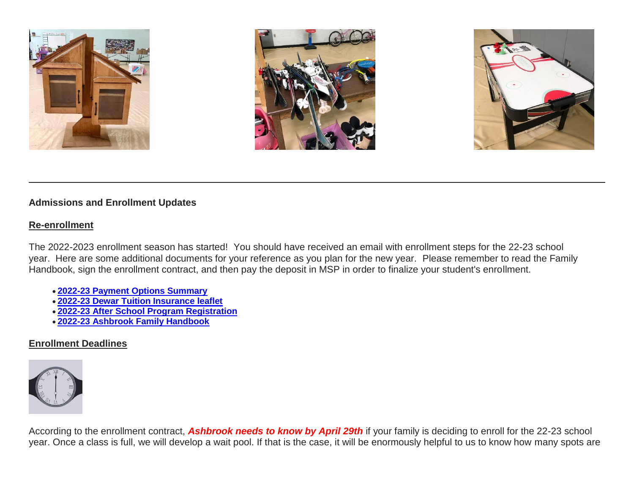





# **Admissions and Enrollment Updates**

#### **Re-enrollment**

The 2022-2023 enrollment season has started! You should have received an email with enrollment steps for the 22-23 school year. Here are some additional documents for your reference as you plan for the new year. Please remember to read the Family Handbook, sign the enrollment contract, and then pay the deposit in MSP in order to finalize your student's enrollment.

- **[2022-23 Payment Options Summary](http://link.mystudentsprogress.com/ls/click?upn=n7jYKe39nC4PrVAw2BzaOolgU5XUleaJ61qfvNJxTW3uoi8RFzNYUfSc1qXdqajA34djZWrxIBJBxzp2whbybvqIYp3dDOkCDgKesziBdClkeFpPmgMGrgcxNe5TC96odu91tl93IdUb7rzqL2LYFtC2am-2BBIM47dCls51qjeV0-3DpCod_1PndbFfBoQGSZbxwXHHEexw3B2F0fG-2BUmuXm6a-2BX-2BzspVuiq-2BemV-2Fzy6QV6RfOWdw99-2B7a9JAOhO3H-2B6u5JigLcd1fp-2BIC1pQjnJ1eLwJ-2FqZOf-2FhuSZhPUmh5GQLqkz-2FVhQ-2BSsV5grbybbKuimAc9qivGUj1kwKRQNve5a4h5IP0eK2JH9U3QE6qUawU2umPqiENqmugLIm920UVRX6FuiTXfOITGOPDTDZymckDFXkxZgwoZQ3E6R0JaoEIoZ1k3GsyGY8sLUt0yb-2BUF0qqF4HOyhYX3WhMTCBPPZMXcwMvE3WxERS6QjmNS7y7qhPbio5OWXs52asi4-2BFmNu1Zx5GYsxd9Qzjmx0TgpZTApglFE0-2FxTlNAHo3jicXtAZEUT7vDeivFACib2WUaneSSB-2B4MjXRIhc-2FtkoYgA7G6S2S85xKdvV-2FqQAaIprFGD-2Bf-2F)**
- **[2022-23 Dewar Tuition Insurance leaflet](http://link.mystudentsprogress.com/ls/click?upn=n7jYKe39nC4PrVAw2BzaOolgU5XUleaJ61qfvNJxTW3uoi8RFzNYUfSc1qXdqajA34djZWrxIBJBxzp2whbybvqIYp3dDOkCDgKesziBdCmKv7ixhdviv-2FmwC44NqeRkEpR0EqlRFDbLPP4oUBY3JgS-2BxTIUAg9pOXjNuHrG2gHW4aOlWy1OxP4JzdIN-2FgxfyNL2_1PndbFfBoQGSZbxwXHHEexw3B2F0fG-2BUmuXm6a-2BX-2BzspVuiq-2BemV-2Fzy6QV6RfOWdw99-2B7a9JAOhO3H-2B6u5JigG2Ahy9VBvDrjIrX3OINEtyoXH3SX6gBTQ17F-2BkLE6SoJ2caaD80vZJfmVxqgOwgLWrSlzxhGUSPRNJoVr-2BovnCHaKuEP6N1TADp6yq21f1E-2B-2FnS8-2Fc1Hg6I3J5HRWLGCHk3sMlMrOdROvH5wdbpGS1LlMIPKvZy7xJNy59F-2FPw7Tal56W6pZCLbCCKvkbttWFJGzadWS6bpZSdVI9fow87vtR4YTfMvEbTVqUra13E0XX39Nsn9qX-2FrEvW41JHyeuGcv-2BRKjyke6vYLEz4Fedl2aZn-2BKUhHSQtbnC82ae5FTTqFKtBp1-2BrDRP-2FhT-2BSxvykpBhEv1-2FGT7Ck3064-2F9EFVAym32VQgQgGdeK-2BWnFIw)**
- **[2022-23 After School Program Registration](http://link.mystudentsprogress.com/ls/click?upn=n7jYKe39nC4PrVAw2BzaOolgU5XUleaJ61qfvNJxTW3uoi8RFzNYUfSc1qXdqajA34djZWrxIBJBxzp2whbybvqIYp3dDOkCDgKesziBdCk2zoL69EF1elapRVEFs9mzF3f9wmKGKZgVh2d6-2F4A-2BgVLXq8Q8Acmh7jJG-2BzjCzXs-3DZ-_c_1PndbFfBoQGSZbxwXHHEexw3B2F0fG-2BUmuXm6a-2BX-2BzspVuiq-2BemV-2Fzy6QV6RfOWdw99-2B7a9JAOhO3H-2B6u5JigIocs10AG-2FphO8UnMPbc5fOMrWOYbr7xFq8GFXW2cwXzcyvCnN3Tsj5dGULw2ffq712js9lhXPmvvsrCEgbeaunaaNcIUbWWzYrZvUfFBbSqPRSp8j0MGSqWUIYWK6D2SIWqfg0oj-2FgNPSTxhUfm7-2FPkT0VnvV1YMgxJY-2FpXBzKAcmS9m1XOkHof90TgzvYGyshBZbMWp0mzsBZEy1gRGXMX483W-2F4XGtnevTeJ2XUxvjS4DQrBcNUM4GkIMN4HNGKQ-2FMaLGpq5OV5hBopCUGemmbdmhmDlydP-2FX5PUQ2oWJ065yoNllVrcgL0EqkhgN0r6ck4a2N4iEnwHL9xOO2lZSiRSd80HGMADM3SBHF1g6)**
- **[2022-23 Ashbrook Family Handbook](http://link.mystudentsprogress.com/ls/click?upn=n7jYKe39nC4PrVAw2BzaOolgU5XUleaJ61qfvNJxTW3uoi8RFzNYUfSc1qXdqajA34djZWrxIBJBxzp2whbybvqIYp3dDOkCDgKesziBdCm10y3DaewIztvYnTmbtKZrSM7zgMXMbd3vUX54N4ULGmQauK03d1W1q-2BxdA-2FDSbp8-3DpWWw_1PndbFfBoQGSZbxwXHHEexw3B2F0fG-2BUmuXm6a-2BX-2BzspVuiq-2BemV-2Fzy6QV6RfOWdw99-2B7a9JAOhO3H-2B6u5JigNkSvexbBCj0L5oVEElkiiSQhT8aDvfSZBP2xHbDgnbFnkywdU5FWmIl07CzefVPe2sbKjDPy4z-2BPyaOyCmaDAR6-2FVJIcbvh3HLlhHFg3oomqez2a-2F9CUK63eI43GsYUfYymky93xvvRk4S-2Fm55YjkBWr63cwSwoKCqp9XRxr2KBq6PDUXj6dO5u3lebJaxJmafhwkI6eE5EfFcZdVtQOTo3psLNOy-2Bc5gfc1w9hmub1mgtRckbiCTJYnyMAP9-2FMCIsY2sg70DBaLZ-2B2DMi2BibS2dTWpmNfLSuYEazBt-2F5PmApRU5synQbtygE8ZQiyIBtc7tqUbfKQL3sGSzXApYTVjur0C7gWHCrkCiHYi0Ti)**

# **Enrollment Deadlines**



According to the enrollment contract, *Ashbrook needs to know by April 29th* if your family is deciding to enroll for the 22-23 school year. Once a class is full, we will develop a wait pool. If that is the case, it will be enormously helpful to us to know how many spots are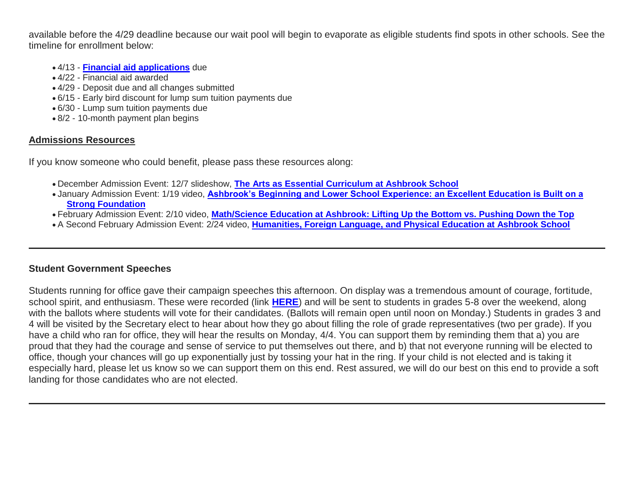available before the 4/29 deadline because our wait pool will begin to evaporate as eligible students find spots in other schools. See the timeline for enrollment below:

- 4/13 **[Financial aid applications](http://link.mystudentsprogress.com/ls/click?upn=9NFJldv80hP-2FMIbgvz91YTw-2FPeGAX3zaZ-2B6BOjUQoz1zpnNqwRVnkmgZdHIWb6xct5jE_1PndbFfBoQGSZbxwXHHEexw3B2F0fG-2BUmuXm6a-2BX-2BzspVuiq-2BemV-2Fzy6QV6RfOWdw99-2B7a9JAOhO3H-2B6u5JigJYsmxLDoEh4BchUoAy-2F1tscoa723fa9XIHYcKDmHH89idD6sQH0K1TjH-2B1dp73wWII4LlOwB5EjvERF21fHMeavRCLUl7B9VeE74vRQCTTssREHp5q1EGi-2BCNRJ1WlyXZXqkshFTfKgyvfpp-2FMPhrq8v2z4OjtuYbIun4QKLZU9B3zhPubr9Mw-2BwHY9KdU67pQLPVRkisk50-2F4Mg5E5TccVrKtBbp1p-2BTWWJLi9J24M9u7iczLPPji2QXxqtHRFYIGA4Nxmjd2BR9rP8qUWgJWq88DMqJEVLnxQDt0NtMPRpqGYNII-2BVPkwF2Us69GLhNIl2Q26EeIuOphm75WuuVkx-2BCNYwhjMNHbSQxx9vkDj)** due
- 4/22 Financial aid awarded
- 4/29 Deposit due and all changes submitted
- 6/15 Early bird discount for lump sum tuition payments due
- 6/30 Lump sum tuition payments due
- 8/2 10-month payment plan begins

# **Admissions Resources**

If you know someone who could benefit, please pass these resources along:

- December Admission Event: 12/7 slideshow, **[The Arts as Essential Curriculum at Ashbrook School](http://link.mystudentsprogress.com/ls/click?upn=VpBe6Z9t6RkEC4qAoQCertKzhjEDinKc0CfI3IvbCQdAUGivbUo1ZPD28lUVkIpyGu-2F3iyG4XxBZqKyx0zVEQbqdNmInL0lGt-2FSwwTpFjpXb1cd7PE4kL-2F96nplm-2FTn3EnOD_1PndbFfBoQGSZbxwXHHEexw3B2F0fG-2BUmuXm6a-2BX-2BzspVuiq-2BemV-2Fzy6QV6RfOWdw99-2B7a9JAOhO3H-2B6u5JigPr5abnXPMABiw0FeAYnf3WVUy66U5VxISP84hF2bG2bz95Byx1rxltze7w9MMt-2FI4j7LQwsYKVfX7ZW0ErKtGKEWb7UvMBIRaYVhfGQnTyg7YBFPxebv-2B1dHOrvZKp7aym53xgLn9Z6e6R3f2pPvYtmPdgcZH1BAS-2FSSAsN8pWXW8aGcgUoI-2F3bp6hoahmoGoWVlEmR91dd44xOK1xpXzRa5vyMsMal-2FYxdViLqBkbZU0newDMJYY51CrHGWGBjr7OyLXWKSqWFczzIS4Qc-2BDwa0U1oUBJlPzdatgroaoj0IRhfkRFBT9gbMiJSiFDjsmzc2EEHb3Ir-2F0mLgGKXwPhavs9H5Srnuf3RQZkCNjcR)**
- January Admission Event: 1/19 video, **[Ashbrook's Beginning and Lower School Experience: an Excellent Education is Built on a](http://link.mystudentsprogress.com/ls/click?upn=VpBe6Z9t6RkEC4qAoQCertKzhjEDinKc0CfI3IvbCQcj-2FMXFM42TVH6rCD0ujHzqWqw-2BuBJp3PwgDrJbc3MENop-2F4KTzDhISrUM0n5UnrJQ-2Fe1MM7jG-2BVXvLYzStIms876sR_1PndbFfBoQGSZbxwXHHEexw3B2F0fG-2BUmuXm6a-2BX-2BzspVuiq-2BemV-2Fzy6QV6RfOWdw99-2B7a9JAOhO3H-2B6u5JigJ9IBGlx2mr426arzK4Y9xtueBvnOZ4rp9A66v6KNEWrfOxzbAVW7TA9OlS2WeP04N6iPOFlr2sVUGr9Q6SekkSGXMRTFsuLee7G8vDsFwiY50ZPkWUNEqIMt26rX6sildazp9V9Tg-2BN5V7Cmv-2FDWkCfWjPQE8LiuECqYHBNhmi11oTSoyXSOr25qEwimLuiFXRixvx4iZUPJU5cC4XinkM-2BKi1JkkRdNbeFCJ9rkCLtXznkR6JXNFK-2FKXK2zHfX4IwDDb4B3t8K0HDNYUs1wxz93NPJFfYSfuJrdhT2ZvWLwgk1nFdCEFFGQe1VzBoxJzFaVnfa7qqmO6GtRKs-2FSsnyUVtJPKAQvppuHZvYGPhy)  [Strong Foundation](http://link.mystudentsprogress.com/ls/click?upn=VpBe6Z9t6RkEC4qAoQCertKzhjEDinKc0CfI3IvbCQcj-2FMXFM42TVH6rCD0ujHzqWqw-2BuBJp3PwgDrJbc3MENop-2F4KTzDhISrUM0n5UnrJQ-2Fe1MM7jG-2BVXvLYzStIms876sR_1PndbFfBoQGSZbxwXHHEexw3B2F0fG-2BUmuXm6a-2BX-2BzspVuiq-2BemV-2Fzy6QV6RfOWdw99-2B7a9JAOhO3H-2B6u5JigJ9IBGlx2mr426arzK4Y9xtueBvnOZ4rp9A66v6KNEWrfOxzbAVW7TA9OlS2WeP04N6iPOFlr2sVUGr9Q6SekkSGXMRTFsuLee7G8vDsFwiY50ZPkWUNEqIMt26rX6sildazp9V9Tg-2BN5V7Cmv-2FDWkCfWjPQE8LiuECqYHBNhmi11oTSoyXSOr25qEwimLuiFXRixvx4iZUPJU5cC4XinkM-2BKi1JkkRdNbeFCJ9rkCLtXznkR6JXNFK-2FKXK2zHfX4IwDDb4B3t8K0HDNYUs1wxz93NPJFfYSfuJrdhT2ZvWLwgk1nFdCEFFGQe1VzBoxJzFaVnfa7qqmO6GtRKs-2FSsnyUVtJPKAQvppuHZvYGPhy)**
- February Admission Event: 2/10 video, **[Math/Science Education at Ashbrook: Lifting Up the Bottom vs. Pushing Down the Top](http://link.mystudentsprogress.com/ls/click?upn=VpBe6Z9t6RkEC4qAoQCertKzhjEDinKc0CfI3IvbCQcWMZhEmzIOaoE1rrVAI5L8ZO7XS8Tv5hSiIMalu6EJjCDUJP7moAVnS2AEJdBcw2I-3DH2aB_1PndbFfBoQGSZbxwXHHEexw3B2F0fG-2BUmuXm6a-2BX-2BzspVuiq-2BemV-2Fzy6QV6RfOWdw99-2B7a9JAOhO3H-2B6u5JigL6d4HEam1rTmcQSZ0NDdEnxXJuJfHWU-2FRCx28Yl-2FkuEth-2FEDZHMt8-2BNtwF57GBAYkDPaiuIVH4fxp5bslCpUB0vVZ2SOkDyrRUmGff5-2FDBvP3nARHxP9xE5u3tTCOFjmcPJYCAG6hpz4JALz04yXfLIi-2B3p3reXm9jdSWkfrCunc6IvqS4MZ1O1Y6BE04GVNP06QFIPpoe8dtsw-2FjWl64r2nANjnOnLr3Ndd3vLJEvIa5l25nzt4lzyUXE8M69T0O3PEkXXvM8LI1AWGaprzKoE9zxsryB6-2F-2Fc7kLAgi7-2FIMVP0MwVOWSgZFnE3Xfpfo7d9yDfG-2BtlWkFySbymFvtxlvf70yvzXBPdQENM4c6kv)**
- A Second February Admission Event: 2/24 video, **[Humanities, Foreign Language, and Physical Education at Ashbrook School](http://link.mystudentsprogress.com/ls/click?upn=VpBe6Z9t6RkEC4qAoQCertKzhjEDinKc0CfI3IvbCQdVZVTEFOlGsKYGq77MfEdURJQ6o-2BD42HfofdXXBWp4osH367C5cJyuKmzLhDFL5tL7ffHADe0ya5yyn-2BNlingbmsWu_1PndbFfBoQGSZbxwXHHEexw3B2F0fG-2BUmuXm6a-2BX-2BzspVuiq-2BemV-2Fzy6QV6RfOWdw99-2B7a9JAOhO3H-2B6u5JigDZ87Yh9pFEAGlAMj0AN1LuFWU6AKZbomd77XcWxGgU2dyq5RQH4YH2EGQKg6ogz30uJO8IWSqW24rAtJgkSvW4oqBto0BT2xHPWrljZBLAmvXdWNhu5haOONKJS4sSZr93Vu2JV8WRJlfte0HGBrBdIk-2FjYMmzk4s7APVquXtFBvDbDz5eZDYBCkOOeivi7xAfLGM4Bqkmi1B-2BSgJhJEcaOu1B-2BNcSHf7l74NwQ0JBzsi57CKev5L-2BHiyDpC-2Bmvgox4Ehs7RSIIkBxz-2Fi4iOB8NLsB7dfKjgE55HrTxmHfgi31LLz-2FGehV7rDuevRAmsEUR-2FxYw3AvDks-2B5l-2Fe2ioeMWyru1ihyiOLkZbIsft9k)**

# **Student Government Speeches**

Students running for office gave their campaign speeches this afternoon. On display was a tremendous amount of courage, fortitude, school spirit, and enthusiasm. These were recorded (link **[HERE](http://link.mystudentsprogress.com/ls/click?upn=dtxrd7XgLFKMZb8yFsgCgSVnuvD-2Ftv2gCnZRw338lGJAE7YPRDHJPwOr0s7ZnIlSUnYE_1PndbFfBoQGSZbxwXHHEexw3B2F0fG-2BUmuXm6a-2BX-2BzspVuiq-2BemV-2Fzy6QV6RfOWdw99-2B7a9JAOhO3H-2B6u5JigNJU-2F1NrWukrUL2sM10ZraLtv-2FPm2X9uF6lx4sdd4Qx1C0o-2BS1SwW8iRkgOo3-2BoHziYk-2BLuIO3LkvX-2Fl7X2s5eGXqg8WmmVq-2FM6leGwzs6nKWPG20e-2BjiWM9BaM8LgFYbu1I5-2B1NSzvTsKYX4xA0e5Dx12rf3QnCZzKiH5l56trbcnie-2BB33VEExLWoZBOfT0vA0mMKpt639OCd-2FGhRRq-2F416DaJd9ORLhXxJVyz5DEZR6TtObHbbG14kn8qj9TqP49DNdCWMvB-2B4fYO8ATXcOzde-2FvO6NzqdoOdchWyAqQWJb9FvZ0sdNdZ1YnSNxm9AQcDH2WniyePO2Wwv5xTjcvc3PpQsN7UwbsG0xquD6S9)**) and will be sent to students in grades 5-8 over the weekend, along with the ballots where students will vote for their candidates. (Ballots will remain open until noon on Monday.) Students in grades 3 and 4 will be visited by the Secretary elect to hear about how they go about filling the role of grade representatives (two per grade). If you have a child who ran for office, they will hear the results on Monday, 4/4. You can support them by reminding them that a) you are proud that they had the courage and sense of service to put themselves out there, and b) that not everyone running will be elected to office, though your chances will go up exponentially just by tossing your hat in the ring. If your child is not elected and is taking it especially hard, please let us know so we can support them on this end. Rest assured, we will do our best on this end to provide a soft landing for those candidates who are not elected.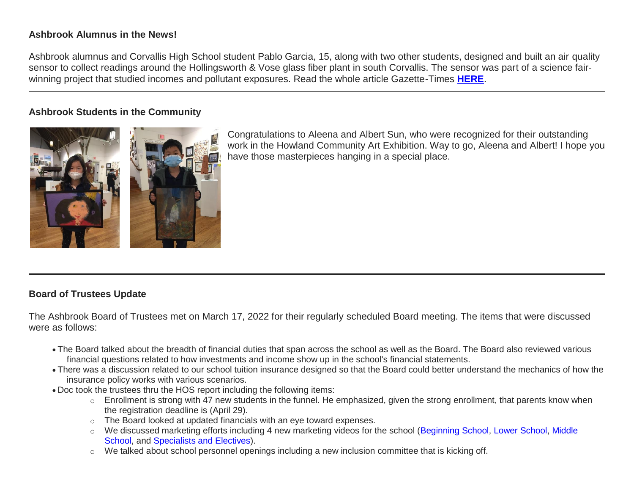# **Ashbrook Alumnus in the News!**

Ashbrook alumnus and Corvallis High School student Pablo Garcia, 15, along with two other students, designed and built an air quality sensor to collect readings around the Hollingsworth & Vose glass fiber plant in south Corvallis. The sensor was part of a science fairwinning project that studied incomes and pollutant exposures. Read the whole article Gazette-Times **[HERE](http://link.mystudentsprogress.com/ls/click?upn=5XDbAd9r0ovG7GZusFBG8DqXBLJjK-2B065CPDFMQUfyj8uh1mRYmpN1xN95VpC-2BgycpFKlE-2BvazHtfRX5KBrcwj68zdrbJDaNdrHI0CQ4Ssklm6tTcN-2BDkue1xirUp7KGGsQ-2B3Mdd1ALShn7czdG7LZfkjA58Va52-2B-2FwO74OGq-2BtbCKYZW7sdgvX3TmbPVECtECl-2FOj7hnKSHLaLkVTXezw-3D-3Daxnu_1PndbFfBoQGSZbxwXHHEexw3B2F0fG-2BUmuXm6a-2BX-2BzspVuiq-2BemV-2Fzy6QV6RfOWdw99-2B7a9JAOhO3H-2B6u5JigGSwWZqn3IcitDf7HeEpbHsDAvv4gmASBhxysO6aDjkzc5LzVQIL5PP77ZvRN8EBaXaJeq13P8u8HQ2Oi2dTlrdLy8AeTIQ-2Bt3OcKY28VTM0gNts2F8yXxi2qcdGUEtU91pCzlxthBMrd4KZrfbFjrk8WVrwK6ZPuT8np92OEag3Eo1o13Sp3ExPFSR9njnHLMlboly2lyEypdeB8xcuqEO6Dg6DSKP0sR2aV7tODRJz7elgmzWQVkq1i8aNjoPp4UgUxxZ-2BpnlDNkD4up3oFLqmgm85Fk11on0ubZlpXjD4THcXYvcxIT-2FAmc5hPIOY5qqYtglDP27Pb1eUZWvZAOwh1ekgu-2FJ0463bKiVGh94n)**.

## **Ashbrook Students in the Community**



Congratulations to Aleena and Albert Sun, who were recognized for their outstanding work in the Howland Community Art Exhibition. Way to go, Aleena and Albert! I hope you have those masterpieces hanging in a special place.

# **Board of Trustees Update**

The Ashbrook Board of Trustees met on March 17, 2022 for their regularly scheduled Board meeting. The items that were discussed were as follows:

- The Board talked about the breadth of financial duties that span across the school as well as the Board. The Board also reviewed various financial questions related to how investments and income show up in the school's financial statements.
- There was a discussion related to our school tuition insurance designed so that the Board could better understand the mechanics of how the insurance policy works with various scenarios.
- Doc took the trustees thru the HOS report including the following items:
	- o Enrollment is strong with 47 new students in the funnel. He emphasized, given the strong enrollment, that parents know when the registration deadline is (April 29).
	- o The Board looked at updated financials with an eye toward expenses.
	- o We discussed marketing efforts including 4 new marketing videos for the school [\(Beginning School,](http://link.mystudentsprogress.com/ls/click?upn=5XDbAd9r0ovG7GZusFBG8PaUF78UqItDelTGdwk7Y5Z6snw4T29-2Bxfvechik02zNEL6wAuj9QXLwIjlUsk24mw-3D-3D7Qwz_1PndbFfBoQGSZbxwXHHEexw3B2F0fG-2BUmuXm6a-2BX-2BzspVuiq-2BemV-2Fzy6QV6RfOWdw99-2B7a9JAOhO3H-2B6u5JigPYoMDrV5AIcHAljWyd5iE1QdYVxKU0HQXOLMy40eSsWkQAjVR2pDWeApGjTE7NiUN73Yyx-2Bqala3xCPGoxLTA1kWiWZ1NbtN1vtXemllXu6-2BQPVzY5ZcZ73-2Bm2D7X0dQMxLMtBPMc5uXaeuEfR3-2B-2FwRHeULYrJUWZ0AN8oJHgX6-2BaC9Pxxf2yaEaUISrAp8FS7h8-2BGf01e-2FIXRlURgwlMarPnIM94Q4o-2FLb5GBUF8j2DP6-2BlWirDCc73gq6LiYBgSLOSivIfnH-2F7XN6uVa2pYbPIoroxCbFZGVwdPkjPz1RoXvUE7MoG2IW07gwSWKfu05KiHLMiYTgVMYa83K3Le1xiB5E9JZmFX9vocwqUNMu) [Lower School,](http://link.mystudentsprogress.com/ls/click?upn=5XDbAd9r0ovG7GZusFBG8PaUF78UqItDelTGdwk7Y5Z6snw4T29-2Bxfvechik02zNb96E2n02BmLy-2BDeVrA2O6L3VVPSlnJYYTCxxqGEZvmU-3DcSjg_1PndbFfBoQGSZbxwXHHEexw3B2F0fG-2BUmuXm6a-2BX-2BzspVuiq-2BemV-2Fzy6QV6RfOWdw99-2B7a9JAOhO3H-2B6u5JigK7HHMAj-2BGeqL4vq5k4oU9kFyK152Yqi-2BmVWY5OTQHC0RuQSe-2Fc4y2T3bRt-2FDjlFO6ZmHVofXsrChMs8gytkqA59s-2BQEI6gsrBe4If6AJ70Ey2yIKpZlcF-2FNwqAltobhPufZF5Um9YwHYlcmzXj1S-2Barg3zmlRsgTV-2FoygO07ukm1aWKheM7WjM0155SMFp-2B96X6eYo6xgK35ooi78lP85ky4bLGYBQxM52Ue0mTRJk6sF-2FxBGvbA94mt2aKzEodvRozs0xdTIW-2BXUzuUg9VBHo0z0Av7zqegGOoCDCUjpm7cr7L-2BjWNNfvYBZYP3z99yqdlqUI7KOeSHAIX9Lc859vzZVLi2SLK9AkZH0w71pXs) [Middle](http://link.mystudentsprogress.com/ls/click?upn=5XDbAd9r0ovG7GZusFBG8PaUF78UqItDelTGdwk7Y5Z6snw4T29-2Bxfvechik02zNpVTnQc-2Bzw64iOxcZ2QP9SPAsaPIfJfs2mZbHTh4tX4A-3Db8yj_1PndbFfBoQGSZbxwXHHEexw3B2F0fG-2BUmuXm6a-2BX-2BzspVuiq-2BemV-2Fzy6QV6RfOWdw99-2B7a9JAOhO3H-2B6u5JigCPZThhn7HX8LW-2FxP7DekO-2BkxVV-2BsEqGfW-2FY0diWPtWFt0NZihRHH-2Fhb73aaPNn0lgJvMVYjUPU2s0lkuGovcpPlxFbn1Q9S4N9oqLYm3vq-2BVMb88-2FbLjOJ-2F9NV1whBqR0HxkzY-2BwYmCjw5DoJv0ebUFGdQxyEdI5tltdp4VeNjx20nKJ-2FGAZwbSkePMpfcCROmdOzryVsNCmTo7WSpZaYZzFNbOtflZ1eAIdy-2FJRmYlpNURpa4-2BkXamSKZkkUx6h90AiUlY-2BxLpK7oELqVtJWuqaXGobXkytriy4gOKeSLSCC7zhniTxXiLcTNY0Q2Kh83NzvS-2Fium9mc-2FASSzTGAnuIT7-2FJy9vZotLog86fEGl)  [School,](http://link.mystudentsprogress.com/ls/click?upn=5XDbAd9r0ovG7GZusFBG8PaUF78UqItDelTGdwk7Y5Z6snw4T29-2Bxfvechik02zNpVTnQc-2Bzw64iOxcZ2QP9SPAsaPIfJfs2mZbHTh4tX4A-3Db8yj_1PndbFfBoQGSZbxwXHHEexw3B2F0fG-2BUmuXm6a-2BX-2BzspVuiq-2BemV-2Fzy6QV6RfOWdw99-2B7a9JAOhO3H-2B6u5JigCPZThhn7HX8LW-2FxP7DekO-2BkxVV-2BsEqGfW-2FY0diWPtWFt0NZihRHH-2Fhb73aaPNn0lgJvMVYjUPU2s0lkuGovcpPlxFbn1Q9S4N9oqLYm3vq-2BVMb88-2FbLjOJ-2F9NV1whBqR0HxkzY-2BwYmCjw5DoJv0ebUFGdQxyEdI5tltdp4VeNjx20nKJ-2FGAZwbSkePMpfcCROmdOzryVsNCmTo7WSpZaYZzFNbOtflZ1eAIdy-2FJRmYlpNURpa4-2BkXamSKZkkUx6h90AiUlY-2BxLpK7oELqVtJWuqaXGobXkytriy4gOKeSLSCC7zhniTxXiLcTNY0Q2Kh83NzvS-2Fium9mc-2FASSzTGAnuIT7-2FJy9vZotLog86fEGl) and [Specialists and Electives\)](http://link.mystudentsprogress.com/ls/click?upn=5XDbAd9r0ovG7GZusFBG8PaUF78UqItDelTGdwk7Y5Z6snw4T29-2Bxfvechik02zNMR-2Fb8j-2BZZ3iBC3Mz8vTsOTVgk69CbM7es3LdBX2F3K8-3D3y8M_1PndbFfBoQGSZbxwXHHEexw3B2F0fG-2BUmuXm6a-2BX-2BzspVuiq-2BemV-2Fzy6QV6RfOWdw99-2B7a9JAOhO3H-2B6u5JigGdovQJiVU9nW0dAh7Q6plRE0ShFAmThZIU2m-2BRDYnUrowysQB1n8ajoz1A-2FNC6H5iao4fjWAKJPUB-2FJwCX8wkO1W27ZGYVO08-2B8EKJS74zm-2FamvvyQyu9LBrZgg0hys34YvpzURPkYkxx4o8N0Ka3U7aCh7QboYoHTzMlF5e3UM-2FUM0rm3ZxTK2sKyQvoOqRvEa7GCVXFsqB-2BVSrYd79RbFBRs6jlviXH-2FJznsflv7bA9rMMPlZ1ZzxRB-2BDURvHc5T9IyqDAWb-2FZ1Hp7prcgYbEawBylVq7825CmOwX5To06t-2B3Z8lhNP3nAZiWUHLfYeWeM3kQ3jx-2B7PDt-2FXuu4OTnkpPT2AAqcRSdhmQ0lwlP).
	- o We talked about school personnel openings including a new inclusion committee that is kicking off.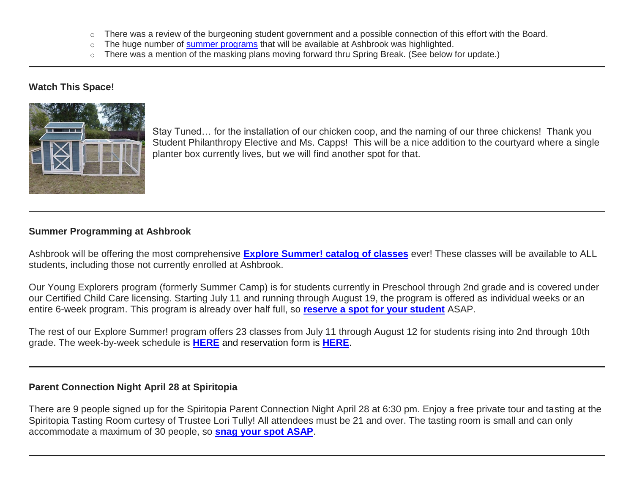- $\circ$  There was a review of the burgeoning student government and a possible connection of this effort with the Board.
- $\circ$  The huge number of [summer programs](http://link.mystudentsprogress.com/ls/click?upn=5XDbAd9r0ovG7GZusFBG8PaUF78UqItDelTGdwk7Y5Z6snw4T29-2Bxfvechik02zNNjHskFAbqBwE5Be3mTfInPLSoC-2BecC4phoAA3XU5fdU-3DSJlj_1PndbFfBoQGSZbxwXHHEexw3B2F0fG-2BUmuXm6a-2BX-2BzspVuiq-2BemV-2Fzy6QV6RfOWdw99-2B7a9JAOhO3H-2B6u5JigIyC9-2BhV225MWnUIu-2B6y2SzdF9h0ly8nvme6lJmY5n7zprlOoyiR4qWN8bqVgwsSsmJgCP7HeM4wTz6j2NSW5ZpD2nbjT56CIjMTu52eTFQxbaC4ezDRPctaNw6VYeAjhYF-2Fg-2FuG36aD45GLUcuIyiCBtZF1jAhR7vI9wROeE-2FswIN5nInl0xp5DKoIxpAEl3is6yHIY-2BqEO8JHVHw5pmnvMxT9G3gqDC8nHgjEIAnRGRoacfjtNkbg5Nbn2ot7RtTFgHKCLLDwfQIGZhZ-2FfyKqvKWqOfoQ6sGdeo7rOxm5WO-2BrjC2KnI1NnpO8flLYLT9C7qCX2YYs193cmGRPi2JrMYZ-2BomSnuKNKTRB-2B0pjz7) that will be available at Ashbrook was highlighted.
- o There was a mention of the masking plans moving forward thru Spring Break. (See below for update.)

### **Watch This Space!**



Stay Tuned… for the installation of our chicken coop, and the naming of our three chickens! Thank you Student Philanthropy Elective and Ms. Capps! This will be a nice addition to the courtyard where a single planter box currently lives, but we will find another spot for that.

#### **Summer Programming at Ashbrook**

Ashbrook will be offering the most comprehensive **[Explore Summer! catalog of classes](http://link.mystudentsprogress.com/ls/click?upn=5XDbAd9r0ovG7GZusFBG8PaUF78UqItDelTGdwk7Y5Z6snw4T29-2Bxfvechik02zNNjHskFAbqBwE5Be3mTfInPLSoC-2BecC4phoAA3XU5fdU-3DXabY_1PndbFfBoQGSZbxwXHHEexw3B2F0fG-2BUmuXm6a-2BX-2BzspVuiq-2BemV-2Fzy6QV6RfOWdw99-2B7a9JAOhO3H-2B6u5JigJiTL4Ik8Rm-2FTLqntbbQUC4NJ7CHr8FmulXbB9irTHF7vRfTRdM0PTNcNjcaDbVtNS4lZhMKfVS4pJFhOCnfhUbLrsOQsAMOZu0PwWqB3J06CusII129-2BdK4ZBzirtTGUabpu5KmBLL0TK7X7kG8EmSCFJ2NetIU3uMxNFlNYGnPVlv2-2F80k-2FH-2FvNPfxLXjaKC90oi-2B6qbr5EAZmGBiAE35ekrrfpJoB2yBPDsnS7ClCLyNO9MML10qfbyI7uiaIa2y0uU8OOhkyxaDF1juD4GzVqbXoH2qh-2FMQyEUJzi16iFdRWBlroH5UmAjEk69522j8JCUUFh-2F8O6UUZy1J7BslQbcH4RscgikUXmYSYOYRo)** ever! These classes will be available to ALL students, including those not currently enrolled at Ashbrook.

Our Young Explorers program (formerly Summer Camp) is for students currently in Preschool through 2nd grade and is covered under our Certified Child Care licensing. Starting July 11 and running through August 19, the program is offered as individual weeks or an entire 6-week program. This program is already over half full, so **[reserve a spot for your student](http://link.mystudentsprogress.com/ls/click?upn=XkPBlp9GNU3xVxREosAX9ZloBmuSz7rYauHLv2bAezXJatPawtKENVoaHu28nHndWNeS_1PndbFfBoQGSZbxwXHHEexw3B2F0fG-2BUmuXm6a-2BX-2BzspVuiq-2BemV-2Fzy6QV6RfOWdw99-2B7a9JAOhO3H-2B6u5JigGV3Jt2yw6htuVqihDXhMgzBltwCl5lw-2F6urJY7zoyJVG1T7i5AUSrkLDzZxc-2BbjFv-2FzWFBLcs-2Blu-2BJo9XfZRBOB3RZh7JYXp8sjkCDeeWQZpktfIWQWBMI2BuZydQkXVktuAt9c6X-2Fe9F-2FCCwSeKI1fd-2FS7ow-2BRTma7xe36cSrRNLHI-2BELtzx8CRD05p5-2BWilZxZ0kuUTXXxJ4zv01ftvhGyUqss6-2Bety81-2FDWi6enTQYRxHAlRoyAVSTzZVsDPuGg9-2Ff0-2FggyQu-2Be7pGN38EeTASGZQIRWOcNsArt950VMaIgE0lszHBKoKaSqqJQyolrEDSYcZzaT33TeVnJJLSWC6Ew-2FNFMWId38VN6qFKoy)** ASAP.

The rest of our Explore Summer! program offers 23 classes from July 11 through August 12 for students rising into 2nd through 10th grade. The week-by-week schedule is **[HERE](http://link.mystudentsprogress.com/ls/click?upn=5XDbAd9r0ovG7GZusFBG8PaUF78UqItDelTGdwk7Y5Z6snw4T29-2Bxfvechik02zNNjHskFAbqBwE5Be3mTfInPLSoC-2BecC4phoAA3XU5fdU-3Dbs-4_1PndbFfBoQGSZbxwXHHEexw3B2F0fG-2BUmuXm6a-2BX-2BzspVuiq-2BemV-2Fzy6QV6RfOWdw99-2B7a9JAOhO3H-2B6u5JigMxZ38xWmwkktKy44GrMd6dR-2B6DGV1EFirATslGQoZL-2BCq0oql5ecXCK0Vf4R79VIcPf7g-2BCSeg4xEDa6yQfz09ZBYzDrL-2BKGnq15wyYooZ1HXx-2FP0vVWULeZxeYXuREvH9dIUpUtPjTC8moQwRXLj8WcmtI2LoVReMRWtiMTmkE151prkoTcK288iJU3bX-2BSmAWIBObcSyKiHag77j0StN0Pzo7V6uHLJpD-2BnvUtQjsrquPO-2Bpe0NOKWM6g3xHjPhrjryNIaKFaCPHfFBqW6EndG-2FVY-2BIwRnftwUSYEhZto2vS0E9LKtIVQcULiEzGVxL9OFW2YshjXNaXPYhRt3SIiWT-2F6XoQlWZODX-2Be3hwOW)** and reservation form is **[HERE](http://link.mystudentsprogress.com/ls/click?upn=XkPBlp9GNU3xVxREosAX9dladwQASOh5udy7m-2FJLcqEsmMBjqEfnwC5eYHIt7vuGmZwT_1PndbFfBoQGSZbxwXHHEexw3B2F0fG-2BUmuXm6a-2BX-2BzspVuiq-2BemV-2Fzy6QV6RfOWdw99-2B7a9JAOhO3H-2B6u5JigKmDmhS9-2FAAFoVLGLtTIVexjdcCSdDILckaINfD1-2F8K0rXpKdDyH21VoY4t5moLPth-2BAPJnOG7KYULc3rXIjRkzoBCSQn5JdLb5yE9DKQ-2FbzAfw-2BGGcDStxr2n-2FEcl4TjizQpYNbZS0C2UumilaNSdUUT6xyr6p5NgNpcwggJOK8jcfEAJnOPns6mFXDnQxaN1ZjTD4fh8yk7-2FK3yx1fJTiugS2P2p9PlGugFLm53XeOo64RaVvhNJyo9Zo8RQNSc2PPYfdnRIAY5xqeIO-2F8-2B2ALpX7W2vOxcM2Nj3mk0OBWjkAhTdUoQceyzqmGutJufAwjH1VrHNu-2Fk0Bcgixgko6JVSd4Ivv2whfhT09tRRaK)**.

#### **Parent Connection Night April 28 at Spiritopia**

There are 9 people signed up for the Spiritopia Parent Connection Night April 28 at 6:30 pm. Enjoy a free private tour and tasting at the Spiritopia Tasting Room curtesy of Trustee Lori Tully! All attendees must be 21 and over. The tasting room is small and can only accommodate a maximum of 30 people, so **[snag your spot ASAP](http://link.mystudentsprogress.com/ls/click?upn=XkPBlp9GNU3xVxREosAX9RZAVhyPUO6e5P4-2FgMDjfRMzPbM0eUGyroihoXApkr0GgOUV_1PndbFfBoQGSZbxwXHHEexw3B2F0fG-2BUmuXm6a-2BX-2BzspVuiq-2BemV-2Fzy6QV6RfOWdw99-2B7a9JAOhO3H-2B6u5JigOjYLlgW8CCW74pzw8BY1R5HXvON9D9oX6aMKf9mjkFONVAIprtPzzie7mfhHvXFNK-2BCx0BwZIFiZjYIbxc1Dd7AZk9tpoEJa0V5hxDDn5ztM8ajnhGiECG7ebYS4Nq6WKZmy4yZYSS5JdJA2itQkPbqc8lu79s5EwZvxFkhAh6svF8X4jWFg8eGU6-2BY-2FR9YbaTppz-2Fwg2eb8-2FerMq70Pnz3VRYA5AUx404TGIc-2BvzgI8DLSFk-2BG0XAPB0akAbuq0UDshtk8d93I8dKNXD0qiRl-2FZAT-2BCw3H80tKwwJWsqSDGQbN3wCevjaQzdFUJQRm4ZEOzGVgC0wlQowLTQfavdU3WBLA0b6jT2Yq-2FWuIEdgJ)**.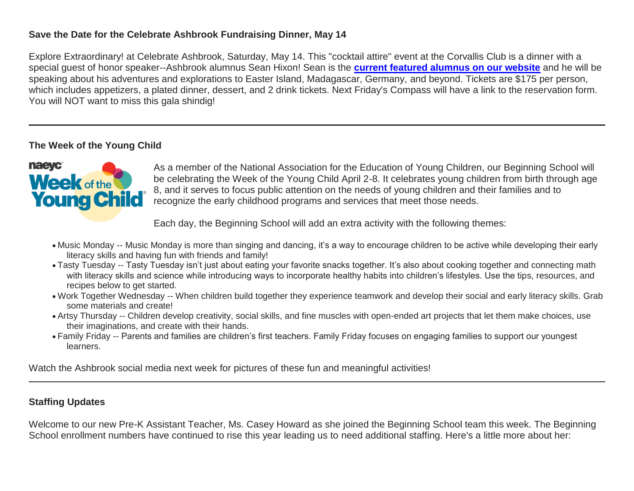# **Save the Date for the Celebrate Ashbrook Fundraising Dinner, May 14**

Explore Extraordinary! at Celebrate Ashbrook, Saturday, May 14. This "cocktail attire" event at the Corvallis Club is a dinner with a special guest of honor speaker--Ashbrook alumnus Sean Hixon! Sean is the **[current featured alumnus on our website](http://link.mystudentsprogress.com/ls/click?upn=5XDbAd9r0ovG7GZusFBG8PaUF78UqItDelTGdwk7Y5YVHPL1lqCP2oHiaZtUu1dlptNe_1PndbFfBoQGSZbxwXHHEexw3B2F0fG-2BUmuXm6a-2BX-2BzspVuiq-2BemV-2Fzy6QV6RfOWdw99-2B7a9JAOhO3H-2B6u5JigKwTXSVDojVfQ-2FTgst9ZM1-2BsAUCUdq5r8ULEL0-2FL3hf4Z-2Fs15G7p04dCHevwVpGJjwZyDxSNRUURYfCG8Z-2Fhfch7gV-2BafO6epEl97bnj2kP8di563hJh5eADyDUG-2FBvnTVuOHC7SunEwUHZCZHWdxJObmSvzKEFXmghsMEc8ioha4iwyY99QdkBGLlqlFs79PGZk1vgdR5hiwNOYzm6pYealQpA9TaTN-2BDCtyxl2jb5po6Cud7os3-2F0kJBZxL1lQuhyuCJCdK62BpfhHVzfg-2BVeOjtMN0Wyc64mK5PZNuhFlXeSh9xfMaLZG1jBTQGpu4K0X9q0JfedNbf6yLG5-2FMDRGvFCoLywgmijg7vLkVBfU)** and he will be speaking about his adventures and explorations to Easter Island, Madagascar, Germany, and beyond. Tickets are \$175 per person, which includes appetizers, a plated dinner, dessert, and 2 drink tickets. Next Friday's Compass will have a link to the reservation form. You will NOT want to miss this gala shindig!

# **The Week of the Young Child**



As a member of the National Association for the Education of Young Children, our Beginning School will be celebrating the Week of the Young Child April 2-8. It celebrates young children from birth through age 8, and it serves to focus public attention on the needs of young children and their families and to recognize the early childhood programs and services that meet those needs.

Each day, the Beginning School will add an extra activity with the following themes:

- Music Monday -- Music Monday is more than singing and dancing, it's a way to encourage children to be active while developing their early literacy skills and having fun with friends and family!
- Tasty Tuesday -- Tasty Tuesday isn't just about eating your favorite snacks together. It's also about cooking together and connecting math with literacy skills and science while introducing ways to incorporate healthy habits into children's lifestyles. Use the tips, resources, and recipes below to get started.
- Work Together Wednesday -- When children build together they experience teamwork and develop their social and early literacy skills. Grab some materials and create!
- Artsy Thursday -- Children develop creativity, social skills, and fine muscles with open-ended art projects that let them make choices, use their imaginations, and create with their hands.
- Family Friday -- Parents and families are children's first teachers. Family Friday focuses on engaging families to support our youngest learners.

Watch the Ashbrook social media next week for pictures of these fun and meaningful activities!

# **Staffing Updates**

Welcome to our new Pre-K Assistant Teacher, Ms. Casey Howard as she joined the Beginning School team this week. The Beginning School enrollment numbers have continued to rise this year leading us to need additional staffing. Here's a little more about her: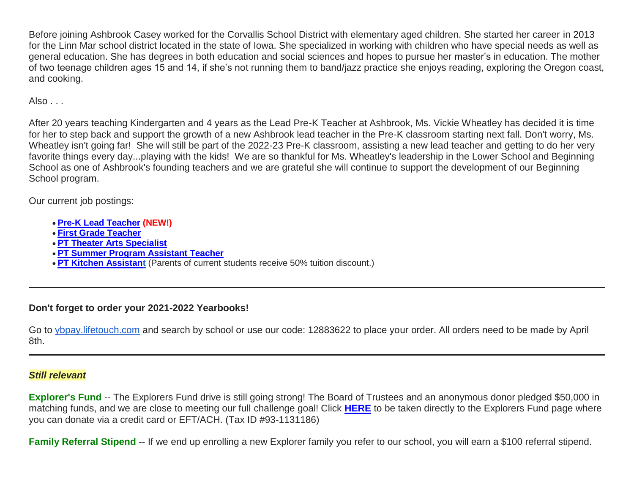Before joining Ashbrook Casey worked for the Corvallis School District with elementary aged children. She started her career in 2013 for the Linn Mar school district located in the state of Iowa. She specialized in working with children who have special needs as well as general education. She has degrees in both education and social sciences and hopes to pursue her master's in education. The mother of two teenage children ages 15 and 14, if she's not running them to band/jazz practice she enjoys reading, exploring the Oregon coast, and cooking.

Also . . .

After 20 years teaching Kindergarten and 4 years as the Lead Pre-K Teacher at Ashbrook, Ms. Vickie Wheatley has decided it is time for her to step back and support the growth of a new Ashbrook lead teacher in the Pre-K classroom starting next fall. Don't worry, Ms. Wheatley isn't going far! She will still be part of the 2022-23 Pre-K classroom, assisting a new lead teacher and getting to do her very favorite things every day...playing with the kids! We are so thankful for Ms. Wheatley's leadership in the Lower School and Beginning School as one of Ashbrook's founding teachers and we are grateful she will continue to support the development of our Beginning School program.

Our current job postings:

- **[Pre-K Lead Teacher](http://link.mystudentsprogress.com/ls/click?upn=flJ18ETPhCbNgmfSZO-2FamzYtOTBVcI9OPqDnIkqnt5Qmq6a4rOASMgt1ALGncL3o-2BSfhJOlVpRRYdjXDDaDjUQ-3D-3Dg1Iy_1PndbFfBoQGSZbxwXHHEexw3B2F0fG-2BUmuXm6a-2BX-2BzspVuiq-2BemV-2Fzy6QV6RfOWdw99-2B7a9JAOhO3H-2B6u5JigAy8ukC6YEuan7szB6YWmsAE2xeYKV8SyW-2Bb3cen3zrVj7XSzNSNhqtoX69PjQ5sLNU4Rm7y3C-2BkSwQ-2BsVebSU3gMlAS4NF0EKeCKqh2UdjHhuAnR1sLrbFSEHFcJ1RQQJSaY-2F036bkou4YECkY-2B2vIRp34qZQvLUcQYma97O3jqwG9QRvxetmbsaqIixILSIpe9CmASS46zn8Ek-2Bs8tToHEKxkUKVyBmJOYDN2SwwMNGL8-2FT1p8J-2FmQhwVvvrCmjWEtv3EYtPfzJ8L-2B0oHV1j3f8-2FuwnBk5M5CeiP0xoZdVq4hwT9xbpGxe3xteHTlSDkUoLF3S7wWziBpq91dY31eTMBk2aeICKQkm3yZhV1yu) (NEW!)**
- **First Grade [Teacher](http://link.mystudentsprogress.com/ls/click?upn=flJ18ETPhCbNgmfSZO-2FamzYtOTBVcI9OPqDnIkqnt5Qmq6a4rOASMgt1ALGncL3otbxa1MDLbNrQl3ChqJI2RQ-3D-3D7sE6_1PndbFfBoQGSZbxwXHHEexw3B2F0fG-2BUmuXm6a-2BX-2BzspVuiq-2BemV-2Fzy6QV6RfOWdw99-2B7a9JAOhO3H-2B6u5JigN3aj9CMH5uOU0SC5EXFLsG1hx9xg4Z0NXZ6iMU-2FfiOcR4-2F8wc7xdFVzoB6e07aEim8s41G71A-2Fl09SaIV1C5HWYtxWTnFFfqADYqIUh8vYn1-2Bm-2FkHHp-2FdB-2BdKbCJci2Dlw2T9Dm6BbuQvB3DT4ZiUj4O2A0sKEC4HQyrIrWatziRKtvnXc4gy4eHbKKcQK6S8DMnSfms-2Fde0Kr3TiqJZLNQvb6lx6Li1FTrw9Vwmqb52vEPRaVB1PH1SOBaJEVj1RF3wfm4tS-2FZYjni9IJ4nZrHWCNJtcHQyZn-2FarGWUgiFyqTSYIoS2G6-2FpMocmPFVLm65pRCx-2BDw-2FGNcng-2FshSfoN8h7ty2i3ak3jRaI1elzD)**
- **[PT Theater](http://link.mystudentsprogress.com/ls/click?upn=flJ18ETPhCbNgmfSZO-2FamzYtOTBVcI9OPqDnIkqnt5Qmq6a4rOASMgt1ALGncL3oz7LQmF5oMWSMYrnzALmVXg-3D-3DYOCW_1PndbFfBoQGSZbxwXHHEexw3B2F0fG-2BUmuXm6a-2BX-2BzspVuiq-2BemV-2Fzy6QV6RfOWdw99-2B7a9JAOhO3H-2B6u5JigJhZvZDwHcBl1NQUullJ5ccBAwS-2FKK06QVBAcOnTfNajAVl2PZfLEcbrra914sFtF34srcHeP9rcOwweizVUkEb9N3ey6hMt5dZE-2BHHiwLbWeBjmmQwXUvzQleIOZqnkJf-2BuedM3MMDMsEUu5yMBy70BpSSgj-2BZGOLbYrz8BaeiZgKaMcMWywtYFTrxeTues2u5mg-2FeATJ7JgzZqr4A06tmBnoCOCKPcPynh1FXtDycRe5pEE83rXRgQZYCmPOMvb5J-2FZ-2BoWm-2BfWfdLvYMwty8ccFtXG8DU2-2Fl0reM8EcGaLBiXBrfHWfxtfs1t-2BRsMNpvS9fwHXmGmEyiYjNB0XnI3xTteaHeQRy7GotHuXyRYE) Arts Specialist**
- **[PT Summer](http://link.mystudentsprogress.com/ls/click?upn=flJ18ETPhCbNgmfSZO-2FamzYtOTBVcI9OPqDnIkqnt5Qmq6a4rOASMgt1ALGncL3oadflgrTWmU2BE-2FAco-2BFRdQ-3D-3DjrDP_1PndbFfBoQGSZbxwXHHEexw3B2F0fG-2BUmuXm6a-2BX-2BzspVuiq-2BemV-2Fzy6QV6RfOWdw99-2B7a9JAOhO3H-2B6u5JigHmgfWO-2FaMaw4S-2BiYVem7VLMVaKuu7wf5xdJPySysSUuUYtUiHvDUXM2Pmxo-2BEWKKcn6jOYO9JBHDEHhd-2FWPX0v1OspaBzFhwZ4K125rIyh3M8T6YceHWzKuy3FdoegvgPDIceUgdBk1LG5RZHsImzOZ4MRnaAM40eVLiw35O6eBhrZ65GnrFmXwrae-2Bvppw8S3fFVR65nUa7w4sBAAoW3yWGdTzwIRwLN0T9Lk8FMEHaq-2BXavCp8UjpxizXHAPSHcYzSC-2FOjfY9MwKAlyk77UMjb-2BZ4N7N5buq2iuyWid4z3anq6agK3YudD-2BhxYYGD-2FWUvNQIAXr1zTIrrN-2FhBss30hEGpsX-2FVn6tk4A0DeYr1) Program Assistant Teacher**
- **[PT Kitchen Assistant](http://link.mystudentsprogress.com/ls/click?upn=flJ18ETPhCbNgmfSZO-2FamzYtOTBVcI9OPqDnIkqnt5Qmq6a4rOASMgt1ALGncL3oOpSIKt7kSMJ72kKajhl-2FZw-3D-3D_aiE_1PndbFfBoQGSZbxwXHHEexw3B2F0fG-2BUmuXm6a-2BX-2BzspVuiq-2BemV-2Fzy6QV6RfOWdw99-2B7a9JAOhO3H-2B6u5JigBQXMzNF2j7bw5qQKxhAUGvAbmFS-2FHPvtg2SfQO-2FvjfCtuHbnwYXDIveFhaYZ0udyGg5EgBGKJRT4vHy1xkQhcLz1dhq-2Fbffl-2Fy0FwodchP2q365jEMAgIf9Y7I26HfPUrMzgriYlz1DKVUUIrMyUBf2VwJJFKuctv1QT-2B6SumXHEuBw05AAzKSsgRST8zf-2BtXdrlgDJlqA-2Bke8M-2BL0qaoTSQ5RqDsXWEro4hIQzz4KhXcEYVqAScXK1cz6QbKq4tc7-2FbJy0bT-2Fo-2BBlrstvyGFMBF4vL-2F3jCL-2F5VN-2Bs6RKA2fj1M-2FqTRYpgcLQTscbL9t-2Fe-2BwpPhXzuVd-2BLFu0b2jp-2BdEG3cJCw2NC2Okg7fQrYQ)** (Parents of current students receive 50% tuition discount.)

# **Don't forget to order your 2021-2022 Yearbooks!**

Go to [ybpay.lifetouch.com](http://link.mystudentsprogress.com/ls/click?upn=n7jYKe39nC4PrVAw2BzaOolgU5XUleaJ61qfvNJxTW3RsoduBkSm-2FnTJYVlYqPt6RvWTU8useHK6X6zlFg-2Ft96TFIX-2BrRcLxuiSxAKc3STU-3DrzyU_1PndbFfBoQGSZbxwXHHEexw3B2F0fG-2BUmuXm6a-2BX-2BzspVuiq-2BemV-2Fzy6QV6RfOWdw99-2B7a9JAOhO3H-2B6u5JigD-2FPqUUIKsWKtkRtuKvLeA4IB4l0V9u8HmnYTxgtl4WY3Fcak-2B-2BtdyOxsOIkVc-2B65ES3Iz7rDqpurw9oijdqF5eyUuvOASuT9UCWbDOR-2FwVT3ET1bPlJXu5ARgrFi5T-2FOXqJjhA-2BCUC0NM-2FgwK7ZEPH1XG69lWIJjdDXiIodZPQKe7UpTOL-2Fvp7Be8bniiEQE76unRdZ8wvV5NphRbCTHNRHzj5fPCCDhCMftgI6OfjxgRvSUW4Bv6wmWA0-2B-2FMeeJ9mldlL-2BYYOX7aG2Fu-2BPGjpeeSu0AjnZ6x5wy5qzySc7nNPxEkAkIhCoXzH2-2FH8B0IBwJR-2BNA6WZCW4qvqZjqMVyjdKGvm-2BRWcfDxgeHTXam) and search by school or use our code: 12883622 to place your order. All orders need to be made by April 8th.

# *Still relevant*

**Explorer's Fund** -- The Explorers Fund drive is still going strong! The Board of Trustees and an anonymous donor pledged \$50,000 in matching funds, and we are close to meeting our full challenge goal! Click **[HERE](http://link.mystudentsprogress.com/ls/click?upn=5XDbAd9r0ovG7GZusFBG8PaUF78UqItDelTGdwk7Y5YuTzHCPAjU3puEFCesf3czmLI6pjYvXrYopLnNSPnw-2Fg-3D-3DG8yv_1PndbFfBoQGSZbxwXHHEexw3B2F0fG-2BUmuXm6a-2BX-2BzspVuiq-2BemV-2Fzy6QV6RfOWdw99-2B7a9JAOhO3H-2B6u5JigAUD6nhAfb0Rv63jls5WP5osu3ZzyLOn51uFUnG-2FPDy4lEup5sbNpiSWqU5xdG23aJZt9oshZvNBVp1SdHPArylIakFxjsPpVZZpTRd3ShZgZGFsDe0LAI9xO7rufVyYUh-2FbFhPslKKGfgjrBV2KCx76BSSmjTGvRcvw3f9mDc8-2FC0NeFd1BO6ZdCX44TUQbqXJnYgrLq0zJOxDbJxxbGClIqnXk5AcOKz5vw0hG1JayDD-2FqfFzPlAQWxaaDYIX2FNOOvgGewPZrHq9-2FEx2gG8CuWBziy7Rm2gs2NcZJqR3lS2IQii-2BfbUEpRd7ia9eWeO-2B0vkuyI4ofoXwiywQyVK6be-2FEOnv5WErV8BsEi-2FqpW)** to be taken directly to the Explorers Fund page where you can donate via a credit card or EFT/ACH. (Tax ID #93-1131186)

**Family Referral Stipend** -- If we end up enrolling a new Explorer family you refer to our school, you will earn a \$100 referral stipend.